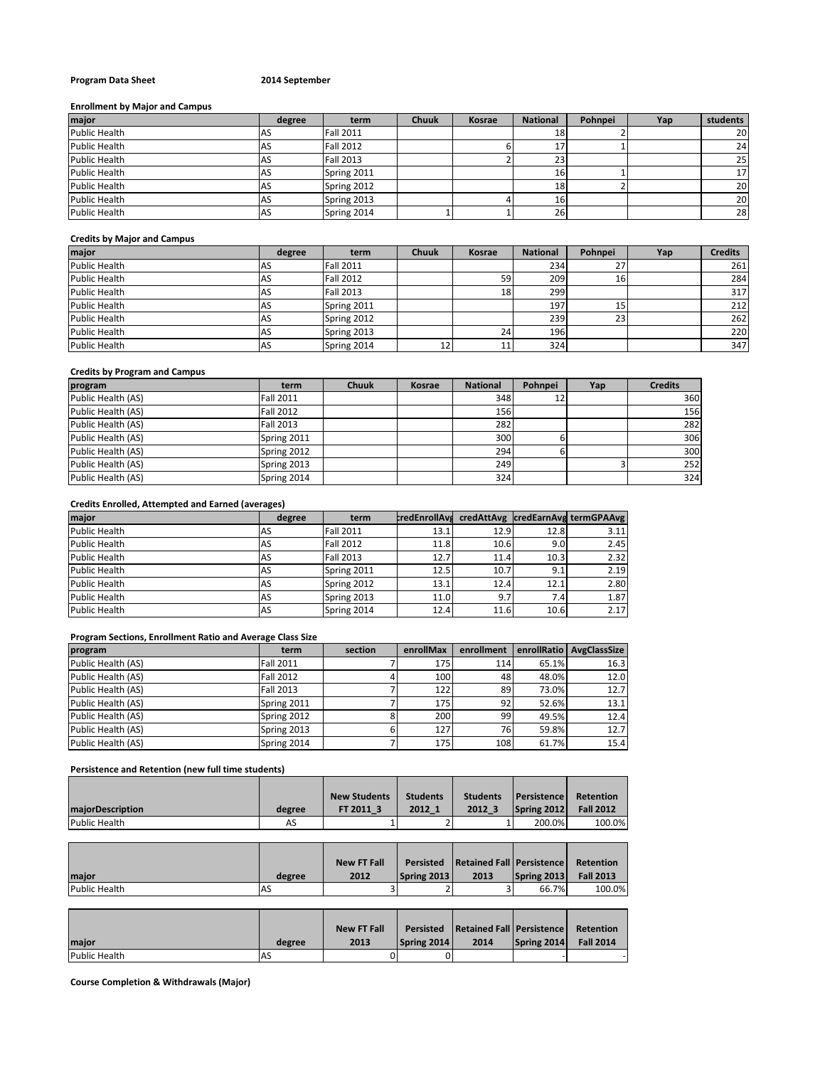# **Program Data Sheet 2014 September**

### **Enrollment by Major and Campus**

| major         | degree | term             | <b>Chuuk</b> | Kosrae | <b>National</b> | Pohnpei | Yap | students  |
|---------------|--------|------------------|--------------|--------|-----------------|---------|-----|-----------|
| Public Health |        | <b>Fall 2011</b> |              |        | <b>18</b>       |         |     | <b>20</b> |
| Public Health | ч۵     | <b>Fall 2012</b> |              |        |                 |         |     | 24        |
| Public Health |        | <b>Fall 2013</b> |              |        | 23              |         |     | 25        |
| Public Health |        | Spring 2011      |              |        | 161             |         |     | 17        |
| Public Health |        | Spring 2012      |              |        | <b>18</b>       |         |     | 20        |
| Public Health |        | Spring 2013      |              |        | 161             |         |     | 20        |
| Public Health | AS.    | Spring 2014      |              |        | 26              |         |     | 28        |

# **Credits by Major and Campus**

| major                | degree | term             | <b>Chuuk</b> | Kosrae | <b>National</b> | Pohnpei  | Yap | <b>Credits</b> |
|----------------------|--------|------------------|--------------|--------|-----------------|----------|-----|----------------|
| <b>Public Health</b> | AS.    | <b>Fall 2011</b> |              |        | 234             | <u>.</u> |     | 261            |
| <b>Public Health</b> | ΙAS    | <b>Fall 2012</b> |              | 59     | 209             | 1b.      |     | 284            |
| <b>Public Health</b> | AS     | <b>Fall 2013</b> |              | 18     | 299             |          |     | 317            |
| <b>Public Health</b> | AS     | Spring 2011      |              |        | 197             | <b></b>  |     | 212            |
| <b>Public Health</b> | AS     | Spring 2012      |              |        | 239             | 23       |     | 262            |
| <b>Public Health</b> | AS     | Spring 2013      |              | 24     | 196             |          |     | 220            |
| <b>Public Health</b> | AS     | Spring 2014      | 12           | 11     | 324             |          |     | 347            |

# **Credits by Program and Campus**

| program            | term             | <b>Chuuk</b> | Kosrae | <b>National</b> | Pohnpei | Yap | <b>Credits</b> |
|--------------------|------------------|--------------|--------|-----------------|---------|-----|----------------|
| Public Health (AS) | <b>Fall 2011</b> |              |        | 348             | 12      |     | 360            |
| Public Health (AS) | <b>Fall 2012</b> |              |        | 156             |         |     | 156            |
| Public Health (AS) | <b>Fall 2013</b> |              |        | 282             |         |     | 282            |
| Public Health (AS) | Spring 2011      |              |        | 300             |         |     | 306            |
| Public Health (AS) | Spring 2012      |              |        | 294             |         |     | 300            |
| Public Health (AS) | Spring 2013      |              |        | 249             |         |     | 252            |
| Public Health (AS) | Spring 2014      |              |        | 324             |         |     | 324            |

#### **Credits Enrolled, Attempted and Earned (averages)**

| major                | degree    | term             | <b>credEnrollAva</b> |      |      | credAttAvg credEarnAvg termGPAAvg |
|----------------------|-----------|------------------|----------------------|------|------|-----------------------------------|
| <b>Public Health</b> | AS        | <b>Fall 2011</b> | 13.1                 | 12.9 | 12.8 | 3.11                              |
| Public Health        | AS        | <b>Fall 2012</b> | 11.8                 | 10.6 | 9.0  | 2.45                              |
| Public Health        | AS        | <b>Fall 2013</b> | 12.7                 | 11.4 | 10.3 | 2.32                              |
| <b>Public Health</b> | <b>AS</b> | Spring 2011      | 12.5                 | 10.7 | 9.1  | 2.19                              |
| <b>Public Health</b> | AS        | Spring 2012      | 13.1                 | 12.4 | 12.1 | 2.80                              |
| Public Health        | AS        | Spring 2013      | 11.0                 | 9.7  | 7.41 | 1.87                              |
| Public Health        | AS        | Spring 2014      | 12.4                 | 11.6 | 10.6 | 2.17                              |

# **Program Sections, Enrollment Ratio and Average Class Size**

| program            | term             | section | enrollMax | enrollment |       | enrollRatio   AvgClassSize |
|--------------------|------------------|---------|-----------|------------|-------|----------------------------|
| Public Health (AS) | <b>Fall 2011</b> |         | 175       | 114        | 65.1% | 16.3                       |
| Public Health (AS) | <b>Fall 2012</b> |         | 100       | 48         | 48.0% | 12.0                       |
| Public Health (AS) | <b>Fall 2013</b> |         | 122       | 89         | 73.0% | 12.7                       |
| Public Health (AS) | Spring 2011      |         | 175       | 92         | 52.6% | 13.1                       |
| Public Health (AS) | Spring 2012      |         | 200       | 99         | 49.5% | 12.4                       |
| Public Health (AS) | Spring 2013      |         | 127       | 76         | 59.8% | 12.7                       |
| Public Health (AS) | Spring 2014      |         | 175       | 108        | 61.7% | 15.4                       |

# **Persistence and Retention (new full time students)**

|                          |        | <b>New Students</b> | <b>Students</b> | <b>Students</b> | <b>Persistence</b> | Retention        |
|--------------------------|--------|---------------------|-----------------|-----------------|--------------------|------------------|
| <b>ImaiorDescription</b> | degree | FT 2011 3           | 2012 1          | 2012 3          | Spring 2012        | <b>Fall 2012</b> |
| Public Health            | AS     |                     |                 |                 | 200.0%             | 100.0%           |

|               |           | <b>New FT Fall</b> | Persisted          | <b>Retained Fall Persistence</b> |             | Retention        |
|---------------|-----------|--------------------|--------------------|----------------------------------|-------------|------------------|
| maior         | degree    | 2012               | <b>Spring 2013</b> | 2013                             | Spring 2013 | <b>Fall 2013</b> |
| Public Health | <b>AS</b> |                    |                    |                                  | 66.7%       | 100.0%           |

|               |           | <b>New FT Fall</b> | <b>Persisted</b> | <b>Retained Fall Persistence</b> |             | Retention        |
|---------------|-----------|--------------------|------------------|----------------------------------|-------------|------------------|
| maior         | degree    | 2013               | Spring 2014      | 2014                             | Spring 2014 | <b>Fall 2014</b> |
| Public Health | <b>AS</b> |                    |                  |                                  |             |                  |

**Course Completion & Withdrawals (Major)**